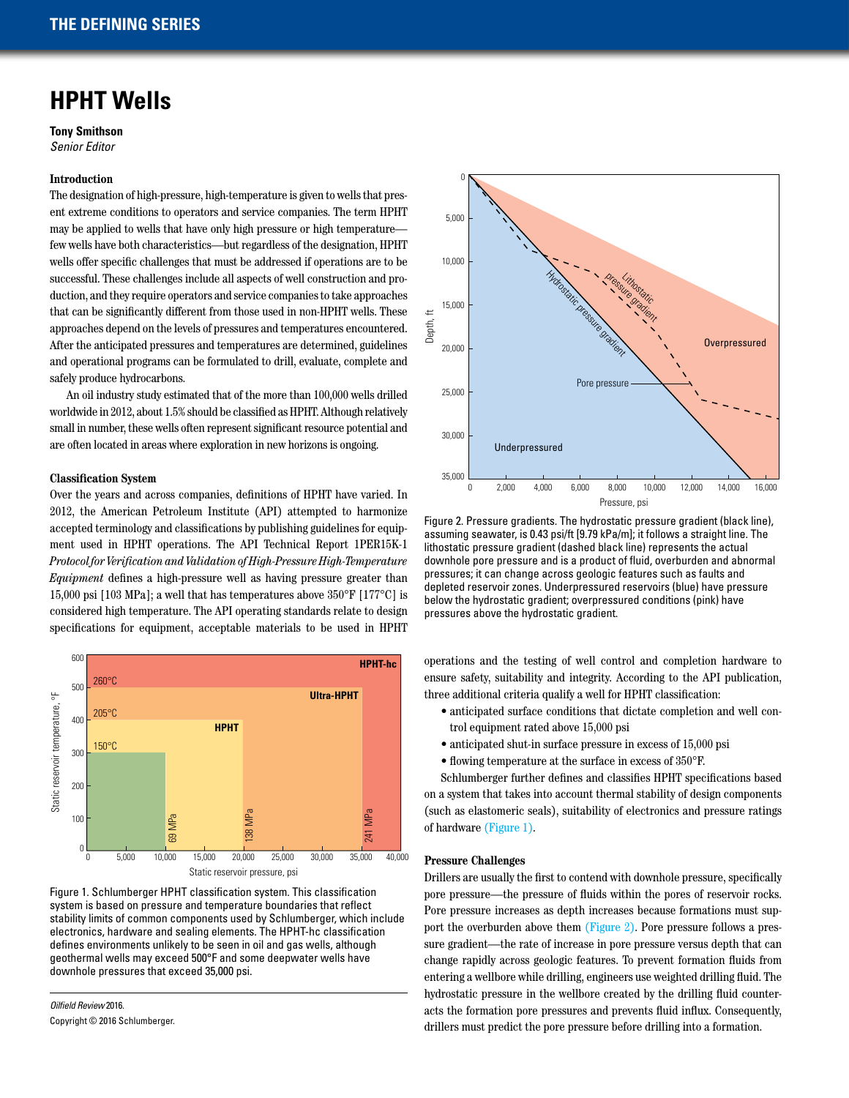# **HPHT Wells**

**Tony Smithson** *Senior Editor*

## **Introduction**

The designation of high-pressure, high-temperature is given to wells that present extreme conditions to operators and service companies. The term HPHT may be applied to wells that have only high pressure or high temperature few wells have both characteristics—but regardless of the designation, HPHT wells offer specific challenges that must be addressed if operations are to be successful. These challenges include all aspects of well construction and production, and they require operators and service companies to take approaches that can be significantly different from those used in non-HPHT wells. These approaches depend on the levels of pressures and temperatures encountered. After the anticipated pressures and temperatures are determined, guidelines and operational programs can be formulated to drill, evaluate, complete and safely produce hydrocarbons.

An oil industry study estimated that of the more than 100,000 wells drilled worldwide in 2012, about 1.5% should be classified as HPHT. Although relatively small in number, these wells often represent significant resource potential and are often located in areas where exploration in new horizons is ongoing.

## **Classification System**

Over the years and across companies, definitions of HPHT have varied. In 2012, the American Petroleum Institute (API) attempted to harmonize accepted terminology and classifications by publishing guidelines for equipment used in HPHT operations. The API Technical Report 1PER15K-1 *Protocol for Verification and Validation of High-Pressure High-Temperature Equipment* defines a high-pressure well as having pressure greater than 15,000 psi [103 MPa]; a well that has temperatures above 350°F [177°C] is considered high temperature. The API operating standards relate to design specifications for equipment, acceptable materials to be used in HPHT



Figure 1. Schlumberger HPHT classification system. This classification system is based on pressure and temperature boundaries that reflect stability limits of common components used by Schlumberger, which include electronics, hardware and sealing elements. The HPHT-hc classification defines environments unlikely to be seen in oil and gas wells, although geothermal wells may exceed 500°F and some deepwater wells have downhole pressures that exceed 35,000 psi.

*Oilfield Review* 2016. Copyright © 2016 Schlumberger.



Figure 2. Pressure gradients. The hydrostatic pressure gradient (black line), assuming seawater, is 0.43 psi/ft [9.79 kPa/m]; it follows a straight line. The lithostatic pressure gradient (dashed black line) represents the actual downhole pore pressure and is a product of fluid, overburden and abnormal pressures; it can change across geologic features such as faults and depleted reservoir zones. Underpressured reservoirs (blue) have pressure below the hydrostatic gradient; overpressured conditions (pink) have pressures above the hydrostatic gradient.

operations and the testing of well control and completion hardware to ensure safety, suitability and integrity. According to the API publication, three additional criteria qualify a well for HPHT classification:

- anticipated surface conditions that dictate completion and well control equipment rated above 15,000 psi
- anticipated shut-in surface pressure in excess of 15,000 psi
- flowing temperature at the surface in excess of 350°F.

Schlumberger further defines and classifies HPHT specifications based on a system that takes into account thermal stability of design components (such as elastomeric seals), suitability of electronics and pressure ratings of hardware (Figure 1).

## **Pressure Challenges**

rressure chanenges<br>Drillers are usually the first to contend with downhole pressure, specifically pore pressure—the pressure of fluids within the pores of reservoir rocks. Pore pressure increases as depth increases because formations must support the overburden above them (Figure 2). Pore pressure follows a pressure gradient—the rate of increase in pore pressure versus depth that can change rapidly across geologic features. To prevent formation fluids from entering a wellbore while drilling, engineers use weighted drilling fluid. The hydrostatic pressure in the wellbore created by the drilling fluid counteracts the formation pore pressures and prevents fluid influx. Consequently, drillers must predict the pore pressure before drilling into a formation. to contend